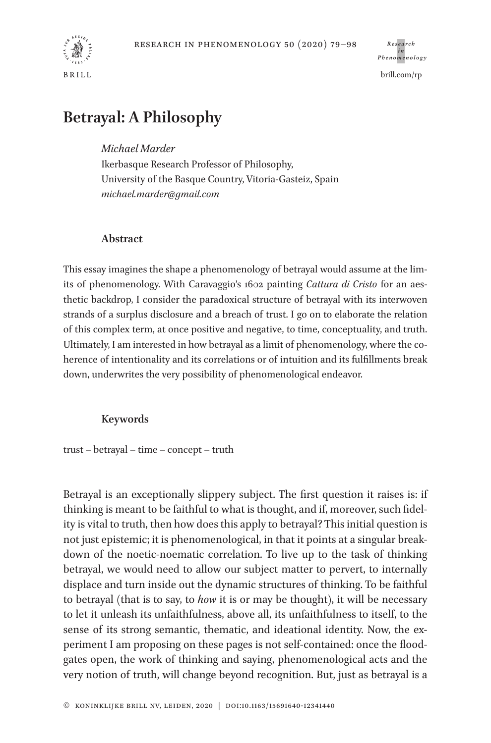

brill.com/rp

# **Betrayal: A Philosophy**

## *Michael Marder*

Ikerbasque Research Professor of Philosophy, University of the Basque Country, Vitoria-Gasteiz, Spain *michael.marder@gmail.com*

## **Abstract**

This essay imagines the shape a phenomenology of betrayal would assume at the limits of phenomenology. With Caravaggio's 1602 painting *Cattura di Cristo* for an aesthetic backdrop, I consider the paradoxical structure of betrayal with its interwoven strands of a surplus disclosure and a breach of trust. I go on to elaborate the relation of this complex term, at once positive and negative, to time, conceptuality, and truth. Ultimately, I am interested in how betrayal as a limit of phenomenology, where the coherence of intentionality and its correlations or of intuition and its fulfillments break down, underwrites the very possibility of phenomenological endeavor.

# **Keywords**

trust – betrayal – time – concept – truth

Betrayal is an exceptionally slippery subject. The first question it raises is: if thinking is meant to be faithful to what is thought, and if, moreover, such fidelity is vital to truth, then how does this apply to betrayal? This initial question is not just epistemic; it is phenomenological, in that it points at a singular breakdown of the noetic-noematic correlation. To live up to the task of thinking betrayal, we would need to allow our subject matter to pervert, to internally displace and turn inside out the dynamic structures of thinking. To be faithful to betrayal (that is to say, to *how* it is or may be thought), it will be necessary to let it unleash its unfaithfulness, above all, its unfaithfulness to itself, to the sense of its strong semantic, thematic, and ideational identity. Now, the experiment I am proposing on these pages is not self-contained: once the floodgates open, the work of thinking and saying, phenomenological acts and the very notion of truth, will change beyond recognition. But, just as betrayal is a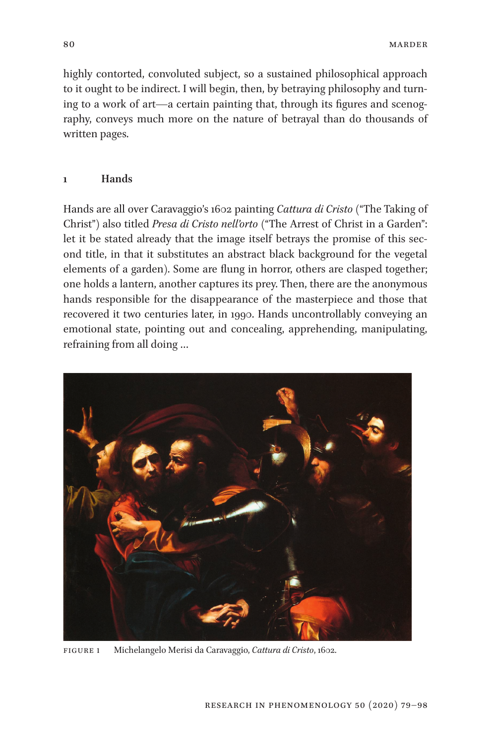highly contorted, convoluted subject, so a sustained philosophical approach to it ought to be indirect. I will begin, then, by betraying philosophy and turning to a work of art—a certain painting that, through its figures and scenography, conveys much more on the nature of betrayal than do thousands of written pages.

### **1 Hands**

Hands are all over Caravaggio's 1602 painting *Cattura di Cristo* ("The Taking of Christ") also titled *Presa di Cristo nell'orto* ("The Arrest of Christ in a Garden": let it be stated already that the image itself betrays the promise of this second title, in that it substitutes an abstract black background for the vegetal elements of a garden). Some are flung in horror, others are clasped together; one holds a lantern, another captures its prey. Then, there are the anonymous hands responsible for the disappearance of the masterpiece and those that recovered it two centuries later, in 1990. Hands uncontrollably conveying an emotional state, pointing out and concealing, apprehending, manipulating, refraining from all doing …



Figure 1 Michelangelo Merisi da Caravaggio, *Cattura di Cristo*, 1602.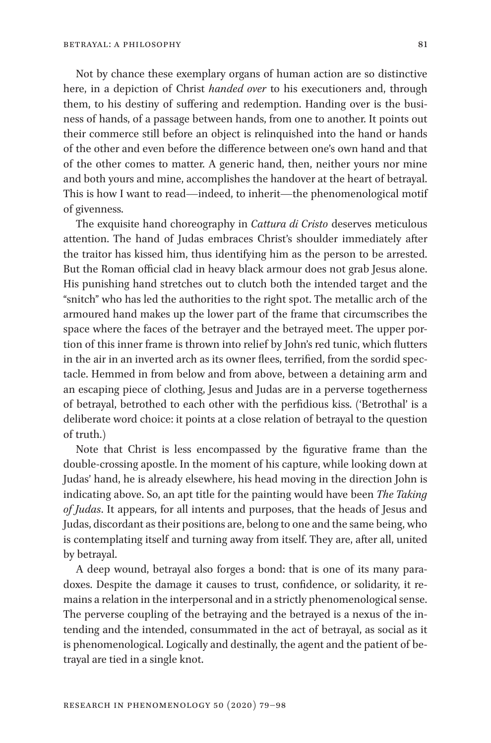Not by chance these exemplary organs of human action are so distinctive here, in a depiction of Christ *handed over* to his executioners and, through them, to his destiny of suffering and redemption. Handing over is the business of hands, of a passage between hands, from one to another. It points out their commerce still before an object is relinquished into the hand or hands of the other and even before the difference between one's own hand and that of the other comes to matter. A generic hand, then, neither yours nor mine and both yours and mine, accomplishes the handover at the heart of betrayal. This is how I want to read—indeed, to inherit—the phenomenological motif of givenness.

The exquisite hand choreography in *Cattura di Cristo* deserves meticulous attention. The hand of Judas embraces Christ's shoulder immediately after the traitor has kissed him, thus identifying him as the person to be arrested. But the Roman official clad in heavy black armour does not grab Jesus alone. His punishing hand stretches out to clutch both the intended target and the "snitch" who has led the authorities to the right spot. The metallic arch of the armoured hand makes up the lower part of the frame that circumscribes the space where the faces of the betrayer and the betrayed meet. The upper portion of this inner frame is thrown into relief by John's red tunic, which flutters in the air in an inverted arch as its owner flees, terrified, from the sordid spectacle. Hemmed in from below and from above, between a detaining arm and an escaping piece of clothing, Jesus and Judas are in a perverse togetherness of betrayal, betrothed to each other with the perfidious kiss. ('Betrothal' is a deliberate word choice: it points at a close relation of betrayal to the question of truth.)

Note that Christ is less encompassed by the figurative frame than the double-crossing apostle. In the moment of his capture, while looking down at Judas' hand, he is already elsewhere, his head moving in the direction John is indicating above. So, an apt title for the painting would have been *The Taking of Judas*. It appears, for all intents and purposes, that the heads of Jesus and Judas, discordant as their positions are, belong to one and the same being, who is contemplating itself and turning away from itself. They are, after all, united by betrayal.

A deep wound, betrayal also forges a bond: that is one of its many paradoxes. Despite the damage it causes to trust, confidence, or solidarity, it remains a relation in the interpersonal and in a strictly phenomenological sense. The perverse coupling of the betraying and the betrayed is a nexus of the intending and the intended, consummated in the act of betrayal, as social as it is phenomenological. Logically and destinally, the agent and the patient of betrayal are tied in a single knot.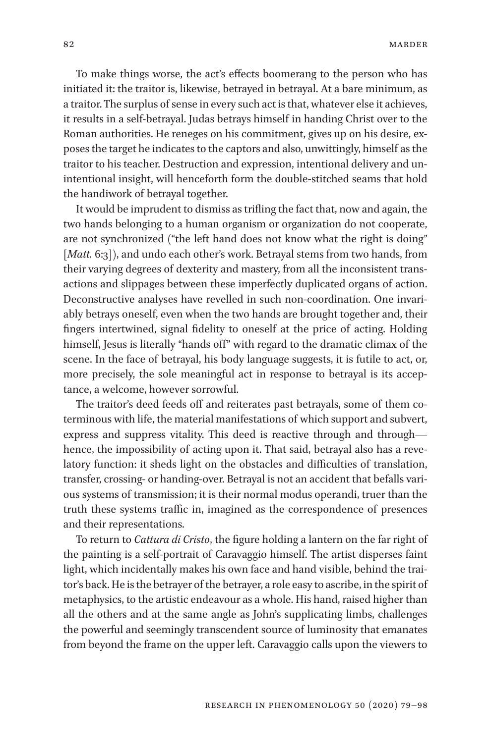To make things worse, the act's effects boomerang to the person who has initiated it: the traitor is, likewise, betrayed in betrayal. At a bare minimum, as a traitor. The surplus of sense in every such act is that, whatever else it achieves, it results in a self-betrayal. Judas betrays himself in handing Christ over to the Roman authorities. He reneges on his commitment, gives up on his desire, exposes the target he indicates to the captors and also, unwittingly, himself as the traitor to his teacher. Destruction and expression, intentional delivery and unintentional insight, will henceforth form the double-stitched seams that hold the handiwork of betrayal together.

It would be imprudent to dismiss as trifling the fact that, now and again, the two hands belonging to a human organism or organization do not cooperate, are not synchronized ("the left hand does not know what the right is doing" [*Matt.* 6:3]), and undo each other's work. Betrayal stems from two hands, from their varying degrees of dexterity and mastery, from all the inconsistent transactions and slippages between these imperfectly duplicated organs of action. Deconstructive analyses have revelled in such non-coordination. One invariably betrays oneself, even when the two hands are brought together and, their fingers intertwined, signal fidelity to oneself at the price of acting. Holding himself, Jesus is literally "hands off" with regard to the dramatic climax of the scene. In the face of betrayal, his body language suggests, it is futile to act, or, more precisely, the sole meaningful act in response to betrayal is its acceptance, a welcome, however sorrowful.

The traitor's deed feeds off and reiterates past betrayals, some of them coterminous with life, the material manifestations of which support and subvert, express and suppress vitality. This deed is reactive through and through hence, the impossibility of acting upon it. That said, betrayal also has a revelatory function: it sheds light on the obstacles and difficulties of translation, transfer, crossing- or handing-over. Betrayal is not an accident that befalls various systems of transmission; it is their normal modus operandi, truer than the truth these systems traffic in, imagined as the correspondence of presences and their representations.

To return to *Cattura di Cristo*, the figure holding a lantern on the far right of the painting is a self-portrait of Caravaggio himself. The artist disperses faint light, which incidentally makes his own face and hand visible, behind the traitor's back. He is the betrayer of the betrayer, a role easy to ascribe, in the spirit of metaphysics, to the artistic endeavour as a whole. His hand, raised higher than all the others and at the same angle as John's supplicating limbs, challenges the powerful and seemingly transcendent source of luminosity that emanates from beyond the frame on the upper left. Caravaggio calls upon the viewers to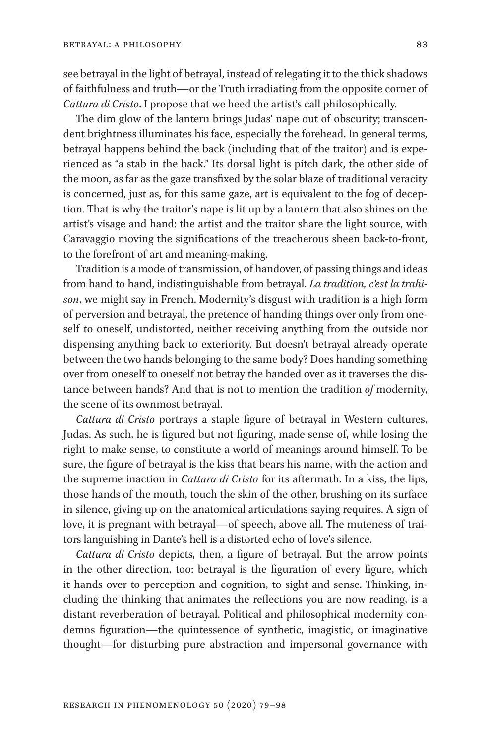see betrayal in the light of betrayal, instead of relegating it to the thick shadows of faithfulness and truth—or the Truth irradiating from the opposite corner of *Cattura di Cristo*. I propose that we heed the artist's call philosophically.

The dim glow of the lantern brings Judas' nape out of obscurity; transcendent brightness illuminates his face, especially the forehead. In general terms, betrayal happens behind the back (including that of the traitor) and is experienced as "a stab in the back." Its dorsal light is pitch dark, the other side of the moon, as far as the gaze transfixed by the solar blaze of traditional veracity is concerned, just as, for this same gaze, art is equivalent to the fog of deception. That is why the traitor's nape is lit up by a lantern that also shines on the artist's visage and hand: the artist and the traitor share the light source, with Caravaggio moving the significations of the treacherous sheen back-to-front, to the forefront of art and meaning-making.

Tradition is a mode of transmission, of handover, of passing things and ideas from hand to hand, indistinguishable from betrayal. *La tradition, c'est la trahison*, we might say in French. Modernity's disgust with tradition is a high form of perversion and betrayal, the pretence of handing things over only from oneself to oneself, undistorted, neither receiving anything from the outside nor dispensing anything back to exteriority. But doesn't betrayal already operate between the two hands belonging to the same body? Does handing something over from oneself to oneself not betray the handed over as it traverses the distance between hands? And that is not to mention the tradition *of* modernity, the scene of its ownmost betrayal.

*Cattura di Cristo* portrays a staple figure of betrayal in Western cultures, Judas. As such, he is figured but not figuring, made sense of, while losing the right to make sense, to constitute a world of meanings around himself. To be sure, the figure of betrayal is the kiss that bears his name, with the action and the supreme inaction in *Cattura di Cristo* for its aftermath. In a kiss, the lips, those hands of the mouth, touch the skin of the other, brushing on its surface in silence, giving up on the anatomical articulations saying requires. A sign of love, it is pregnant with betrayal—of speech, above all. The muteness of traitors languishing in Dante's hell is a distorted echo of love's silence.

*Cattura di Cristo* depicts, then, a figure of betrayal. But the arrow points in the other direction, too: betrayal is the figuration of every figure, which it hands over to perception and cognition, to sight and sense. Thinking, including the thinking that animates the reflections you are now reading, is a distant reverberation of betrayal. Political and philosophical modernity condemns figuration—the quintessence of synthetic, imagistic, or imaginative thought—for disturbing pure abstraction and impersonal governance with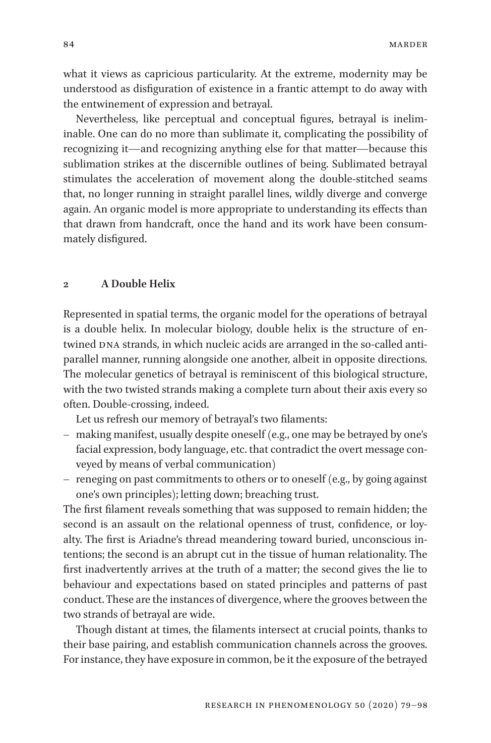what it views as capricious particularity. At the extreme, modernity may be understood as disfiguration of existence in a frantic attempt to do away with the entwinement of expression and betrayal.

Nevertheless, like perceptual and conceptual figures, betrayal is ineliminable. One can do no more than sublimate it, complicating the possibility of recognizing it—and recognizing anything else for that matter—because this sublimation strikes at the discernible outlines of being. Sublimated betrayal stimulates the acceleration of movement along the double-stitched seams that, no longer running in straight parallel lines, wildly diverge and converge again. An organic model is more appropriate to understanding its effects than that drawn from handcraft, once the hand and its work have been consummately disfigured.

### **2 A Double Helix**

Represented in spatial terms, the organic model for the operations of betrayal is a double helix. In molecular biology, double helix is the structure of entwined DNA strands, in which nucleic acids are arranged in the so-called antiparallel manner, running alongside one another, albeit in opposite directions. The molecular genetics of betrayal is reminiscent of this biological structure, with the two twisted strands making a complete turn about their axis every so often. Double-crossing, indeed.

Let us refresh our memory of betrayal's two filaments:

- making manifest, usually despite oneself (e.g., one may be betrayed by one's facial expression, body language, etc. that contradict the overt message conveyed by means of verbal communication)
- reneging on past commitments to others or to oneself (e.g., by going against one's own principles); letting down; breaching trust.

The first filament reveals something that was supposed to remain hidden; the second is an assault on the relational openness of trust, confidence, or loyalty. The first is Ariadne's thread meandering toward buried, unconscious intentions; the second is an abrupt cut in the tissue of human relationality. The first inadvertently arrives at the truth of a matter; the second gives the lie to behaviour and expectations based on stated principles and patterns of past conduct. These are the instances of divergence, where the grooves between the two strands of betrayal are wide.

Though distant at times, the filaments intersect at crucial points, thanks to their base pairing, and establish communication channels across the grooves. For instance, they have exposure in common, be it the exposure of the betrayed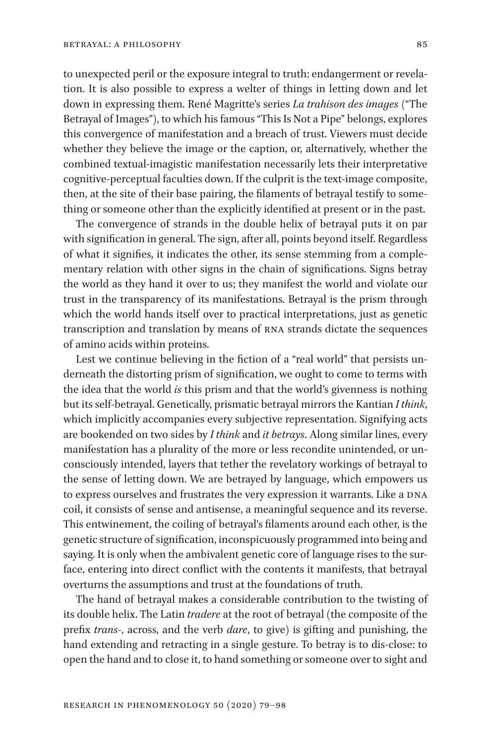to unexpected peril or the exposure integral to truth: endangerment or revelation. It is also possible to express a welter of things in letting down and let down in expressing them. René Magritte's series *La trahison des images* ("The Betrayal of Images"), to which his famous "This Is Not a Pipe" belongs, explores this convergence of manifestation and a breach of trust. Viewers must decide whether they believe the image or the caption, or, alternatively, whether the combined textual-imagistic manifestation necessarily lets their interpretative cognitive-perceptual faculties down. If the culprit is the text-image composite, then, at the site of their base pairing, the filaments of betrayal testify to something or someone other than the explicitly identified at present or in the past.

The convergence of strands in the double helix of betrayal puts it on par with signification in general. The sign, after all, points beyond itself. Regardless of what it signifies, it indicates the other, its sense stemming from a complementary relation with other signs in the chain of significations. Signs betray the world as they hand it over to us; they manifest the world and violate our trust in the transparency of its manifestations. Betrayal is the prism through which the world hands itself over to practical interpretations, just as genetic transcription and translation by means of RNA strands dictate the sequences of amino acids within proteins.

Lest we continue believing in the fiction of a "real world" that persists underneath the distorting prism of signification, we ought to come to terms with the idea that the world *is* this prism and that the world's givenness is nothing but its self-betrayal. Genetically, prismatic betrayal mirrors the Kantian *I think*, which implicitly accompanies every subjective representation. Signifying acts are bookended on two sides by *I think* and *it betrays*. Along similar lines, every manifestation has a plurality of the more or less recondite unintended, or unconsciously intended, layers that tether the revelatory workings of betrayal to the sense of letting down. We are betrayed by language, which empowers us to express ourselves and frustrates the very expression it warrants. Like a DNA coil, it consists of sense and antisense, a meaningful sequence and its reverse. This entwinement, the coiling of betrayal's filaments around each other, is the genetic structure of signification, inconspicuously programmed into being and saying. It is only when the ambivalent genetic core of language rises to the surface, entering into direct conflict with the contents it manifests, that betrayal overturns the assumptions and trust at the foundations of truth.

The hand of betrayal makes a considerable contribution to the twisting of its double helix. The Latin *tradere* at the root of betrayal (the composite of the prefix *trans-*, across, and the verb *dare*, to give) is gifting and punishing, the hand extending and retracting in a single gesture. To betray is to dis-close: to open the hand and to close it, to hand something or someone over to sight and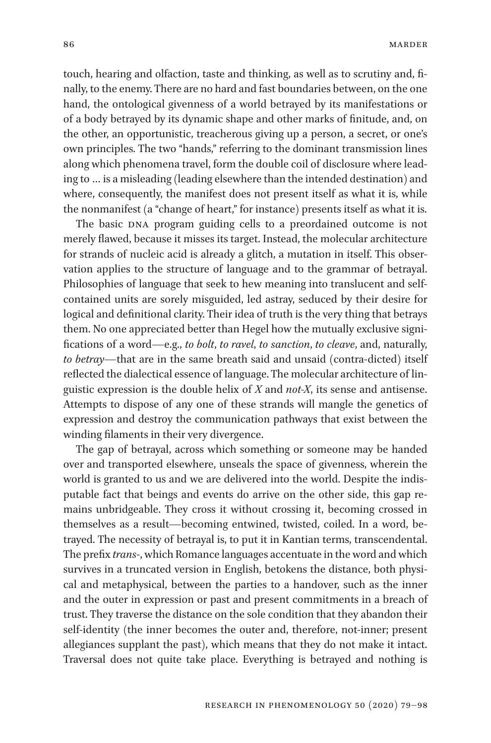touch, hearing and olfaction, taste and thinking, as well as to scrutiny and, finally, to the enemy. There are no hard and fast boundaries between, on the one hand, the ontological givenness of a world betrayed by its manifestations or of a body betrayed by its dynamic shape and other marks of finitude, and, on the other, an opportunistic, treacherous giving up a person, a secret, or one's own principles. The two "hands," referring to the dominant transmission lines along which phenomena travel, form the double coil of disclosure where leading to … is a misleading (leading elsewhere than the intended destination) and where, consequently, the manifest does not present itself as what it is, while the nonmanifest (a "change of heart," for instance) presents itself as what it is.

The basic DNA program guiding cells to a preordained outcome is not merely flawed, because it misses its target. Instead, the molecular architecture for strands of nucleic acid is already a glitch, a mutation in itself. This observation applies to the structure of language and to the grammar of betrayal. Philosophies of language that seek to hew meaning into translucent and selfcontained units are sorely misguided, led astray, seduced by their desire for logical and definitional clarity. Their idea of truth is the very thing that betrays them. No one appreciated better than Hegel how the mutually exclusive significations of a word—e.g., *to bolt*, *to ravel*, *to sanction*, *to cleave*, and, naturally, *to betray*—that are in the same breath said and unsaid (contra-dicted) itself reflected the dialectical essence of language. The molecular architecture of linguistic expression is the double helix of *X* and *not-X*, its sense and antisense. Attempts to dispose of any one of these strands will mangle the genetics of expression and destroy the communication pathways that exist between the winding filaments in their very divergence.

The gap of betrayal, across which something or someone may be handed over and transported elsewhere, unseals the space of givenness, wherein the world is granted to us and we are delivered into the world. Despite the indisputable fact that beings and events do arrive on the other side, this gap remains unbridgeable. They cross it without crossing it, becoming crossed in themselves as a result—becoming entwined, twisted, coiled. In a word, betrayed. The necessity of betrayal is, to put it in Kantian terms, transcendental. The prefix *trans*-, which Romance languages accentuate in the word and which survives in a truncated version in English, betokens the distance, both physical and metaphysical, between the parties to a handover, such as the inner and the outer in expression or past and present commitments in a breach of trust. They traverse the distance on the sole condition that they abandon their self-identity (the inner becomes the outer and, therefore, not-inner; present allegiances supplant the past), which means that they do not make it intact. Traversal does not quite take place. Everything is betrayed and nothing is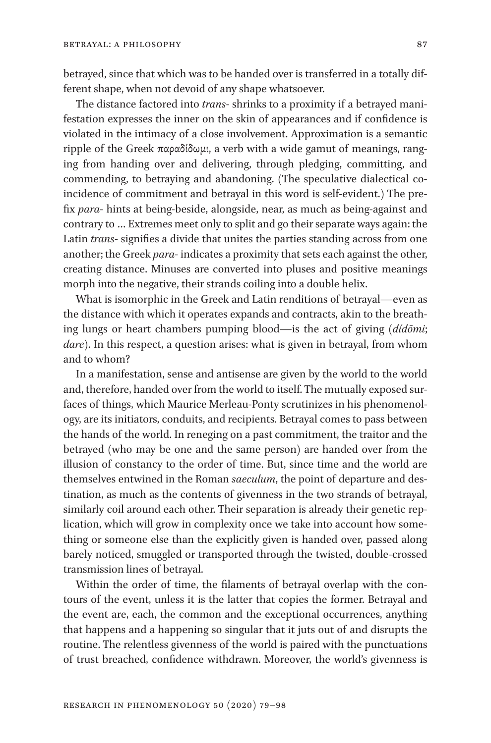betrayed, since that which was to be handed over is transferred in a totally different shape, when not devoid of any shape whatsoever.

The distance factored into *trans*- shrinks to a proximity if a betrayed manifestation expresses the inner on the skin of appearances and if confidence is violated in the intimacy of a close involvement. Approximation is a semantic ripple of the Greek παραδίδωμι, a verb with a wide gamut of meanings, ranging from handing over and delivering, through pledging, committing, and commending, to betraying and abandoning. (The speculative dialectical coincidence of commitment and betrayal in this word is self-evident.) The prefix *para*- hints at being-beside, alongside, near, as much as being-against and contrary to … Extremes meet only to split and go their separate ways again: the Latin *trans*- signifies a divide that unites the parties standing across from one another; the Greek *para*- indicates a proximity that sets each against the other, creating distance. Minuses are converted into pluses and positive meanings morph into the negative, their strands coiling into a double helix.

What is isomorphic in the Greek and Latin renditions of betrayal—even as the distance with which it operates expands and contracts, akin to the breathing lungs or heart chambers pumping blood—is the act of giving (*dídōmi*; *dare*). In this respect, a question arises: what is given in betrayal, from whom and to whom?

In a manifestation, sense and antisense are given by the world to the world and, therefore, handed over from the world to itself. The mutually exposed surfaces of things, which Maurice Merleau-Ponty scrutinizes in his phenomenology, are its initiators, conduits, and recipients. Betrayal comes to pass between the hands of the world. In reneging on a past commitment, the traitor and the betrayed (who may be one and the same person) are handed over from the illusion of constancy to the order of time. But, since time and the world are themselves entwined in the Roman *saeculum*, the point of departure and destination, as much as the contents of givenness in the two strands of betrayal, similarly coil around each other. Their separation is already their genetic replication, which will grow in complexity once we take into account how something or someone else than the explicitly given is handed over, passed along barely noticed, smuggled or transported through the twisted, double-crossed transmission lines of betrayal.

Within the order of time, the filaments of betrayal overlap with the contours of the event, unless it is the latter that copies the former. Betrayal and the event are, each, the common and the exceptional occurrences, anything that happens and a happening so singular that it juts out of and disrupts the routine. The relentless givenness of the world is paired with the punctuations of trust breached, confidence withdrawn. Moreover, the world's givenness is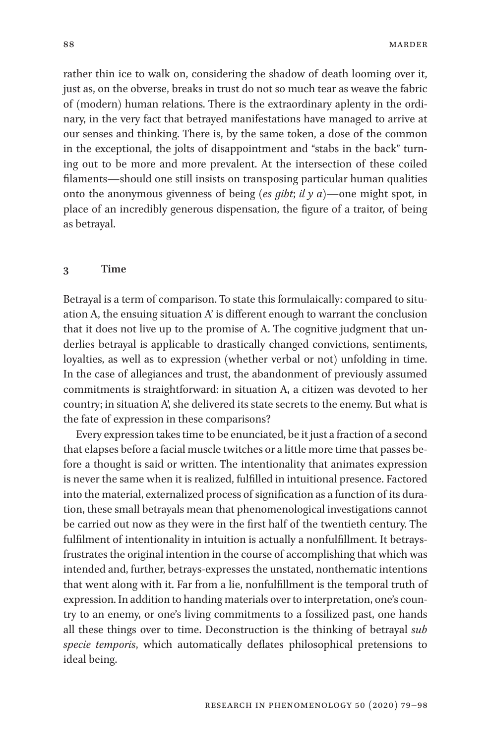rather thin ice to walk on, considering the shadow of death looming over it, just as, on the obverse, breaks in trust do not so much tear as weave the fabric of (modern) human relations. There is the extraordinary aplenty in the ordinary, in the very fact that betrayed manifestations have managed to arrive at our senses and thinking. There is, by the same token, a dose of the common in the exceptional, the jolts of disappointment and "stabs in the back" turning out to be more and more prevalent. At the intersection of these coiled filaments—should one still insists on transposing particular human qualities onto the anonymous givenness of being (*es gibt*; *il y a*)—one might spot, in place of an incredibly generous dispensation, the figure of a traitor, of being as betrayal.

#### **3 Time**

Betrayal is a term of comparison. To state this formulaically: compared to situation A, the ensuing situation A' is different enough to warrant the conclusion that it does not live up to the promise of A. The cognitive judgment that underlies betrayal is applicable to drastically changed convictions, sentiments, loyalties, as well as to expression (whether verbal or not) unfolding in time. In the case of allegiances and trust, the abandonment of previously assumed commitments is straightforward: in situation A, a citizen was devoted to her country; in situation A', she delivered its state secrets to the enemy. But what is the fate of expression in these comparisons?

Every expression takes time to be enunciated, be it just a fraction of a second that elapses before a facial muscle twitches or a little more time that passes before a thought is said or written. The intentionality that animates expression is never the same when it is realized, fulfilled in intuitional presence. Factored into the material, externalized process of signification as a function of its duration, these small betrayals mean that phenomenological investigations cannot be carried out now as they were in the first half of the twentieth century. The fulfilment of intentionality in intuition is actually a nonfulfillment. It betraysfrustrates the original intention in the course of accomplishing that which was intended and, further, betrays-expresses the unstated, nonthematic intentions that went along with it. Far from a lie, nonfulfillment is the temporal truth of expression. In addition to handing materials over to interpretation, one's country to an enemy, or one's living commitments to a fossilized past, one hands all these things over to time. Deconstruction is the thinking of betrayal *sub specie temporis*, which automatically deflates philosophical pretensions to ideal being.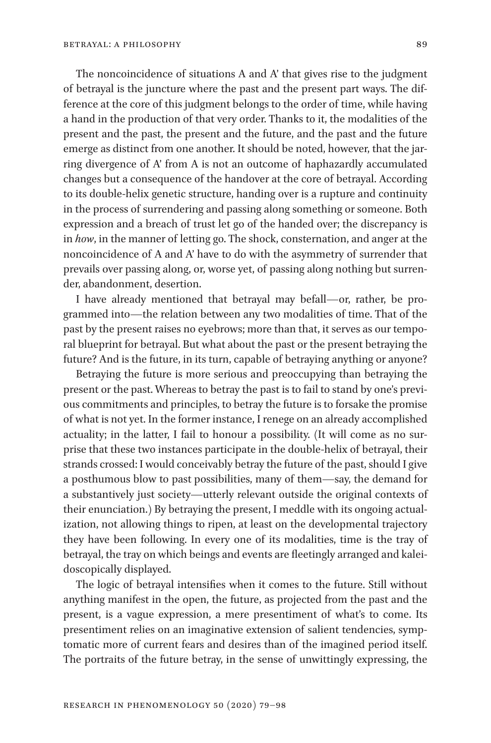The noncoincidence of situations A and A' that gives rise to the judgment of betrayal is the juncture where the past and the present part ways. The difference at the core of this judgment belongs to the order of time, while having a hand in the production of that very order. Thanks to it, the modalities of the present and the past, the present and the future, and the past and the future emerge as distinct from one another. It should be noted, however, that the jarring divergence of A' from A is not an outcome of haphazardly accumulated changes but a consequence of the handover at the core of betrayal. According to its double-helix genetic structure, handing over is a rupture and continuity in the process of surrendering and passing along something or someone. Both expression and a breach of trust let go of the handed over; the discrepancy is in *how*, in the manner of letting go. The shock, consternation, and anger at the noncoincidence of A and A' have to do with the asymmetry of surrender that prevails over passing along, or, worse yet, of passing along nothing but surrender, abandonment, desertion.

I have already mentioned that betrayal may befall—or, rather, be programmed into—the relation between any two modalities of time. That of the past by the present raises no eyebrows; more than that, it serves as our temporal blueprint for betrayal. But what about the past or the present betraying the future? And is the future, in its turn, capable of betraying anything or anyone?

Betraying the future is more serious and preoccupying than betraying the present or the past. Whereas to betray the past is to fail to stand by one's previous commitments and principles, to betray the future is to forsake the promise of what is not yet. In the former instance, I renege on an already accomplished actuality; in the latter, I fail to honour a possibility. (It will come as no surprise that these two instances participate in the double-helix of betrayal, their strands crossed: I would conceivably betray the future of the past, should I give a posthumous blow to past possibilities, many of them—say, the demand for a substantively just society—utterly relevant outside the original contexts of their enunciation.) By betraying the present, I meddle with its ongoing actualization, not allowing things to ripen, at least on the developmental trajectory they have been following. In every one of its modalities, time is the tray of betrayal, the tray on which beings and events are fleetingly arranged and kaleidoscopically displayed.

The logic of betrayal intensifies when it comes to the future. Still without anything manifest in the open, the future, as projected from the past and the present, is a vague expression, a mere presentiment of what's to come. Its presentiment relies on an imaginative extension of salient tendencies, symptomatic more of current fears and desires than of the imagined period itself. The portraits of the future betray, in the sense of unwittingly expressing, the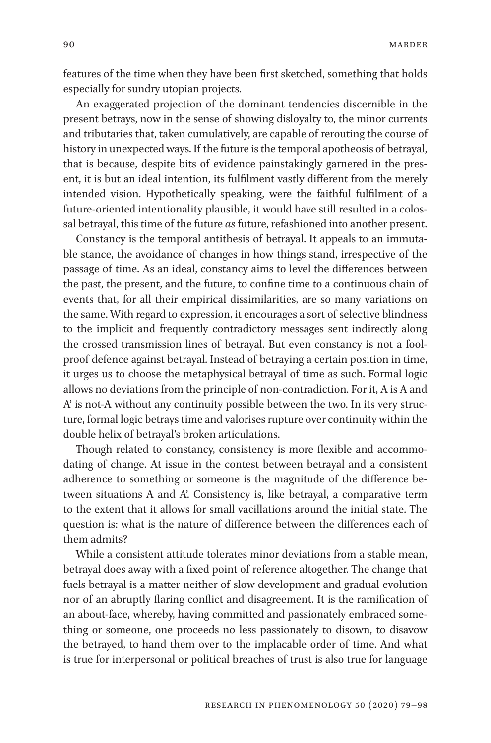features of the time when they have been first sketched, something that holds especially for sundry utopian projects.

An exaggerated projection of the dominant tendencies discernible in the present betrays, now in the sense of showing disloyalty to, the minor currents and tributaries that, taken cumulatively, are capable of rerouting the course of history in unexpected ways. If the future is the temporal apotheosis of betrayal, that is because, despite bits of evidence painstakingly garnered in the present, it is but an ideal intention, its fulfilment vastly different from the merely intended vision. Hypothetically speaking, were the faithful fulfilment of a future-oriented intentionality plausible, it would have still resulted in a colossal betrayal, this time of the future *as* future, refashioned into another present.

Constancy is the temporal antithesis of betrayal. It appeals to an immutable stance, the avoidance of changes in how things stand, irrespective of the passage of time. As an ideal, constancy aims to level the differences between the past, the present, and the future, to confine time to a continuous chain of events that, for all their empirical dissimilarities, are so many variations on the same. With regard to expression, it encourages a sort of selective blindness to the implicit and frequently contradictory messages sent indirectly along the crossed transmission lines of betrayal. But even constancy is not a foolproof defence against betrayal. Instead of betraying a certain position in time, it urges us to choose the metaphysical betrayal of time as such. Formal logic allows no deviations from the principle of non-contradiction. For it, A is A and A' is not-A without any continuity possible between the two. In its very structure, formal logic betrays time and valorises rupture over continuity within the double helix of betrayal's broken articulations.

Though related to constancy, consistency is more flexible and accommodating of change. At issue in the contest between betrayal and a consistent adherence to something or someone is the magnitude of the difference between situations A and A'. Consistency is, like betrayal, a comparative term to the extent that it allows for small vacillations around the initial state. The question is: what is the nature of difference between the differences each of them admits?

While a consistent attitude tolerates minor deviations from a stable mean, betrayal does away with a fixed point of reference altogether. The change that fuels betrayal is a matter neither of slow development and gradual evolution nor of an abruptly flaring conflict and disagreement. It is the ramification of an about-face, whereby, having committed and passionately embraced something or someone, one proceeds no less passionately to disown, to disavow the betrayed, to hand them over to the implacable order of time. And what is true for interpersonal or political breaches of trust is also true for language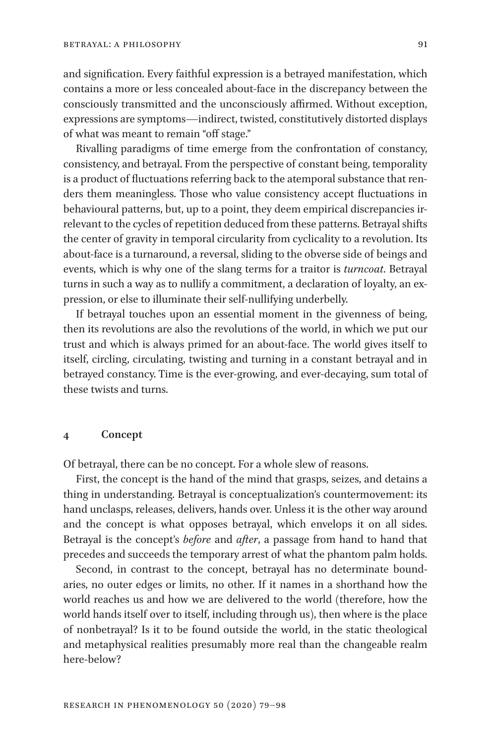and signification. Every faithful expression is a betrayed manifestation, which contains a more or less concealed about-face in the discrepancy between the consciously transmitted and the unconsciously affirmed. Without exception, expressions are symptoms—indirect, twisted, constitutively distorted displays of what was meant to remain "off stage."

Rivalling paradigms of time emerge from the confrontation of constancy, consistency, and betrayal. From the perspective of constant being, temporality is a product of fluctuations referring back to the atemporal substance that renders them meaningless. Those who value consistency accept fluctuations in behavioural patterns, but, up to a point, they deem empirical discrepancies irrelevant to the cycles of repetition deduced from these patterns. Betrayal shifts the center of gravity in temporal circularity from cyclicality to a revolution. Its about-face is a turnaround, a reversal, sliding to the obverse side of beings and events, which is why one of the slang terms for a traitor is *turncoat*. Betrayal turns in such a way as to nullify a commitment, a declaration of loyalty, an expression, or else to illuminate their self-nullifying underbelly.

If betrayal touches upon an essential moment in the givenness of being, then its revolutions are also the revolutions of the world, in which we put our trust and which is always primed for an about-face. The world gives itself to itself, circling, circulating, twisting and turning in a constant betrayal and in betrayed constancy. Time is the ever-growing, and ever-decaying, sum total of these twists and turns.

#### **4 Concept**

Of betrayal, there can be no concept. For a whole slew of reasons.

First, the concept is the hand of the mind that grasps, seizes, and detains a thing in understanding. Betrayal is conceptualization's countermovement: its hand unclasps, releases, delivers, hands over. Unless it is the other way around and the concept is what opposes betrayal, which envelops it on all sides. Betrayal is the concept's *before* and *after*, a passage from hand to hand that precedes and succeeds the temporary arrest of what the phantom palm holds.

Second, in contrast to the concept, betrayal has no determinate boundaries, no outer edges or limits, no other. If it names in a shorthand how the world reaches us and how we are delivered to the world (therefore, how the world hands itself over to itself, including through us), then where is the place of nonbetrayal? Is it to be found outside the world, in the static theological and metaphysical realities presumably more real than the changeable realm here-below?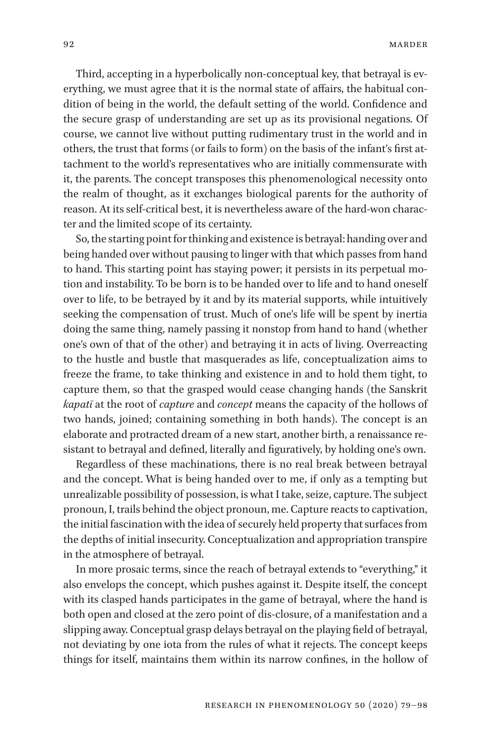Third, accepting in a hyperbolically non-conceptual key, that betrayal is everything, we must agree that it is the normal state of affairs, the habitual condition of being in the world, the default setting of the world. Confidence and the secure grasp of understanding are set up as its provisional negations. Of course, we cannot live without putting rudimentary trust in the world and in others, the trust that forms (or fails to form) on the basis of the infant's first attachment to the world's representatives who are initially commensurate with it, the parents. The concept transposes this phenomenological necessity onto the realm of thought, as it exchanges biological parents for the authority of reason. At its self-critical best, it is nevertheless aware of the hard-won character and the limited scope of its certainty.

So, the starting point for thinking and existence is betrayal: handing over and being handed over without pausing to linger with that which passes from hand to hand. This starting point has staying power; it persists in its perpetual motion and instability. To be born is to be handed over to life and to hand oneself over to life, to be betrayed by it and by its material supports, while intuitively seeking the compensation of trust. Much of one's life will be spent by inertia doing the same thing, namely passing it nonstop from hand to hand (whether one's own of that of the other) and betraying it in acts of living. Overreacting to the hustle and bustle that masquerades as life, conceptualization aims to freeze the frame, to take thinking and existence in and to hold them tight, to capture them, so that the grasped would cease changing hands (the Sanskrit *kapatī* at the root of *capture* and *concept* means the capacity of the hollows of two hands, joined; containing something in both hands). The concept is an elaborate and protracted dream of a new start, another birth, a renaissance resistant to betrayal and defined, literally and figuratively, by holding one's own.

Regardless of these machinations, there is no real break between betrayal and the concept. What is being handed over to me, if only as a tempting but unrealizable possibility of possession, is what I take, seize, capture. The subject pronoun, I, trails behind the object pronoun, me. Capture reacts to captivation, the initial fascination with the idea of securely held property that surfaces from the depths of initial insecurity. Conceptualization and appropriation transpire in the atmosphere of betrayal.

In more prosaic terms, since the reach of betrayal extends to "everything," it also envelops the concept, which pushes against it. Despite itself, the concept with its clasped hands participates in the game of betrayal, where the hand is both open and closed at the zero point of dis-closure, of a manifestation and a slipping away. Conceptual grasp delays betrayal on the playing field of betrayal, not deviating by one iota from the rules of what it rejects. The concept keeps things for itself, maintains them within its narrow confines, in the hollow of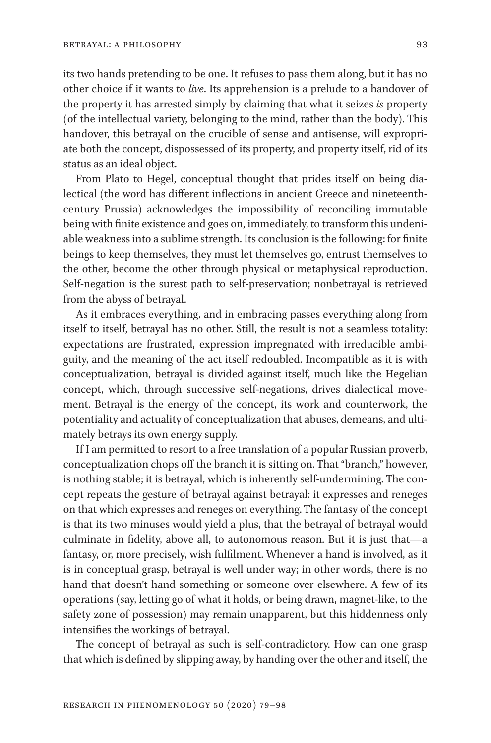its two hands pretending to be one. It refuses to pass them along, but it has no other choice if it wants to *live*. Its apprehension is a prelude to a handover of the property it has arrested simply by claiming that what it seizes *is* property (of the intellectual variety, belonging to the mind, rather than the body). This handover, this betrayal on the crucible of sense and antisense, will expropriate both the concept, dispossessed of its property, and property itself, rid of its status as an ideal object.

From Plato to Hegel, conceptual thought that prides itself on being dialectical (the word has different inflections in ancient Greece and nineteenthcentury Prussia) acknowledges the impossibility of reconciling immutable being with finite existence and goes on, immediately, to transform this undeniable weakness into a sublime strength. Its conclusion is the following: for finite beings to keep themselves, they must let themselves go, entrust themselves to the other, become the other through physical or metaphysical reproduction. Self-negation is the surest path to self-preservation; nonbetrayal is retrieved from the abyss of betrayal.

As it embraces everything, and in embracing passes everything along from itself to itself, betrayal has no other. Still, the result is not a seamless totality: expectations are frustrated, expression impregnated with irreducible ambiguity, and the meaning of the act itself redoubled. Incompatible as it is with conceptualization, betrayal is divided against itself, much like the Hegelian concept, which, through successive self-negations, drives dialectical movement. Betrayal is the energy of the concept, its work and counterwork, the potentiality and actuality of conceptualization that abuses, demeans, and ultimately betrays its own energy supply.

If I am permitted to resort to a free translation of a popular Russian proverb, conceptualization chops off the branch it is sitting on. That "branch," however, is nothing stable; it is betrayal, which is inherently self-undermining. The concept repeats the gesture of betrayal against betrayal: it expresses and reneges on that which expresses and reneges on everything. The fantasy of the concept is that its two minuses would yield a plus, that the betrayal of betrayal would culminate in fidelity, above all, to autonomous reason. But it is just that—a fantasy, or, more precisely, wish fulfilment. Whenever a hand is involved, as it is in conceptual grasp, betrayal is well under way; in other words, there is no hand that doesn't hand something or someone over elsewhere. A few of its operations (say, letting go of what it holds, or being drawn, magnet-like, to the safety zone of possession) may remain unapparent, but this hiddenness only intensifies the workings of betrayal.

The concept of betrayal as such is self-contradictory. How can one grasp that which is defined by slipping away, by handing over the other and itself, the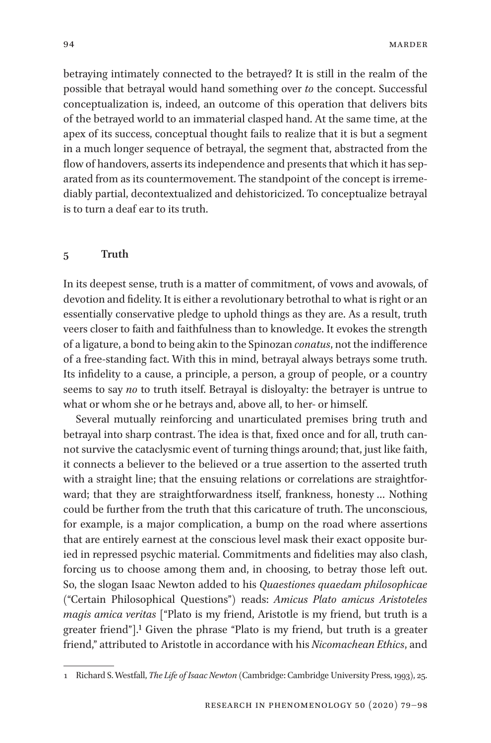betraying intimately connected to the betrayed? It is still in the realm of the possible that betrayal would hand something over *to* the concept. Successful conceptualization is, indeed, an outcome of this operation that delivers bits of the betrayed world to an immaterial clasped hand. At the same time, at the apex of its success, conceptual thought fails to realize that it is but a segment in a much longer sequence of betrayal, the segment that, abstracted from the flow of handovers, asserts its independence and presents that which it has separated from as its countermovement. The standpoint of the concept is irremediably partial, decontextualized and dehistoricized. To conceptualize betrayal is to turn a deaf ear to its truth.

## **5 Truth**

In its deepest sense, truth is a matter of commitment, of vows and avowals, of devotion and fidelity. It is either a revolutionary betrothal to what is right or an essentially conservative pledge to uphold things as they are. As a result, truth veers closer to faith and faithfulness than to knowledge. It evokes the strength of a ligature, a bond to being akin to the Spinozan *conatus*, not the indifference of a free-standing fact. With this in mind, betrayal always betrays some truth. Its infidelity to a cause, a principle, a person, a group of people, or a country seems to say *no* to truth itself. Betrayal is disloyalty: the betrayer is untrue to what or whom she or he betrays and, above all, to her- or himself.

Several mutually reinforcing and unarticulated premises bring truth and betrayal into sharp contrast. The idea is that, fixed once and for all, truth cannot survive the cataclysmic event of turning things around; that, just like faith, it connects a believer to the believed or a true assertion to the asserted truth with a straight line; that the ensuing relations or correlations are straightforward; that they are straightforwardness itself, frankness, honesty … Nothing could be further from the truth that this caricature of truth. The unconscious, for example, is a major complication, a bump on the road where assertions that are entirely earnest at the conscious level mask their exact opposite buried in repressed psychic material. Commitments and fidelities may also clash, forcing us to choose among them and, in choosing, to betray those left out. So, the slogan Isaac Newton added to his *Quaestiones quaedam philosophicae* ("Certain Philosophical Questions") reads: *Amicus Plato amicus Aristoteles magis amica veritas* ["Plato is my friend, Aristotle is my friend, but truth is a greater friend"].1 Given the phrase "Plato is my friend, but truth is a greater friend," attributed to Aristotle in accordance with his *Nicomachean Ethics*, and

<sup>1</sup> Richard S. Westfall, *The Life of Isaac Newton* (Cambridge: Cambridge University Press, 1993), 25.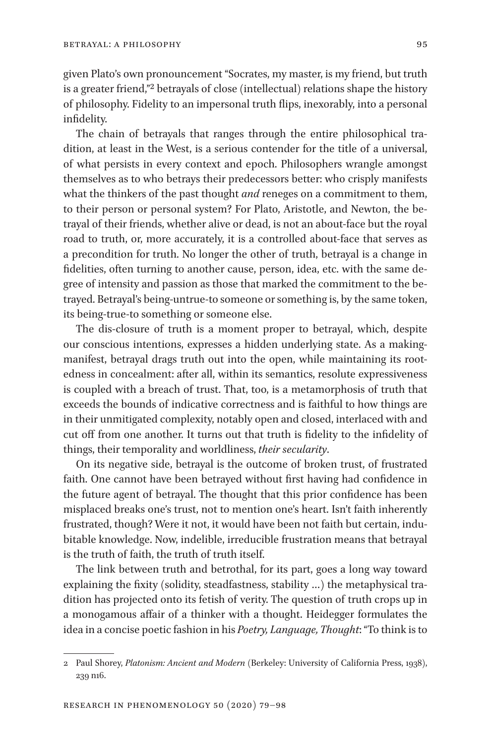given Plato's own pronouncement "Socrates, my master, is my friend, but truth is a greater friend,"2 betrayals of close (intellectual) relations shape the history of philosophy. Fidelity to an impersonal truth flips, inexorably, into a personal infidelity.

The chain of betrayals that ranges through the entire philosophical tradition, at least in the West, is a serious contender for the title of a universal, of what persists in every context and epoch. Philosophers wrangle amongst themselves as to who betrays their predecessors better: who crisply manifests what the thinkers of the past thought *and* reneges on a commitment to them, to their person or personal system? For Plato, Aristotle, and Newton, the betrayal of their friends, whether alive or dead, is not an about-face but the royal road to truth, or, more accurately, it is a controlled about-face that serves as a precondition for truth. No longer the other of truth, betrayal is a change in fidelities, often turning to another cause, person, idea, etc. with the same degree of intensity and passion as those that marked the commitment to the betrayed. Betrayal's being-untrue-to someone or something is, by the same token, its being-true-to something or someone else.

The dis-closure of truth is a moment proper to betrayal, which, despite our conscious intentions, expresses a hidden underlying state. As a makingmanifest, betrayal drags truth out into the open, while maintaining its rootedness in concealment: after all, within its semantics, resolute expressiveness is coupled with a breach of trust. That, too, is a metamorphosis of truth that exceeds the bounds of indicative correctness and is faithful to how things are in their unmitigated complexity, notably open and closed, interlaced with and cut off from one another. It turns out that truth is fidelity to the infidelity of things, their temporality and worldliness, *their secularity*.

On its negative side, betrayal is the outcome of broken trust, of frustrated faith. One cannot have been betrayed without first having had confidence in the future agent of betrayal. The thought that this prior confidence has been misplaced breaks one's trust, not to mention one's heart. Isn't faith inherently frustrated, though? Were it not, it would have been not faith but certain, indubitable knowledge. Now, indelible, irreducible frustration means that betrayal is the truth of faith, the truth of truth itself.

The link between truth and betrothal, for its part, goes a long way toward explaining the fixity (solidity, steadfastness, stability …) the metaphysical tradition has projected onto its fetish of verity. The question of truth crops up in a monogamous affair of a thinker with a thought. Heidegger formulates the idea in a concise poetic fashion in his *Poetry, Language, Thought*: "To think is to

<sup>2</sup> Paul Shorey, *Platonism: Ancient and Modern* (Berkeley: University of California Press, 1938), 239 n16.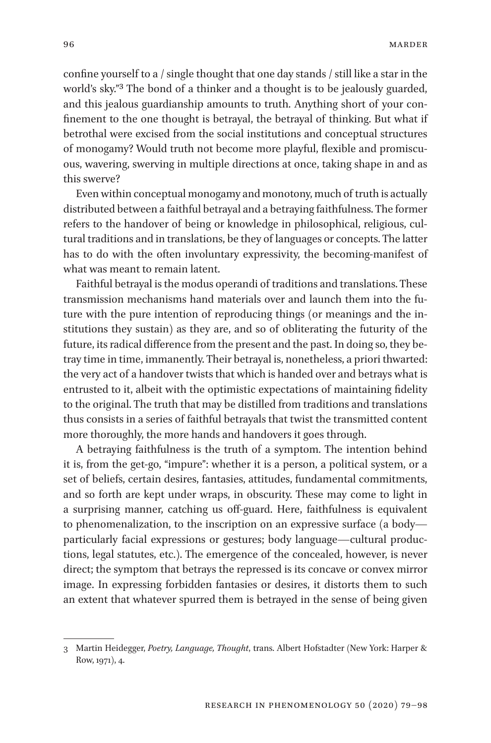confine yourself to a / single thought that one day stands / still like a star in the world's sky."3 The bond of a thinker and a thought is to be jealously guarded, and this jealous guardianship amounts to truth. Anything short of your confinement to the one thought is betrayal, the betrayal of thinking. But what if betrothal were excised from the social institutions and conceptual structures of monogamy? Would truth not become more playful, flexible and promiscuous, wavering, swerving in multiple directions at once, taking shape in and as this swerve?

Even within conceptual monogamy and monotony, much of truth is actually distributed between a faithful betrayal and a betraying faithfulness. The former refers to the handover of being or knowledge in philosophical, religious, cultural traditions and in translations, be they of languages or concepts. The latter has to do with the often involuntary expressivity, the becoming-manifest of what was meant to remain latent.

Faithful betrayal is the modus operandi of traditions and translations. These transmission mechanisms hand materials over and launch them into the future with the pure intention of reproducing things (or meanings and the institutions they sustain) as they are, and so of obliterating the futurity of the future, its radical difference from the present and the past. In doing so, they betray time in time, immanently. Their betrayal is, nonetheless, a priori thwarted: the very act of a handover twists that which is handed over and betrays what is entrusted to it, albeit with the optimistic expectations of maintaining fidelity to the original. The truth that may be distilled from traditions and translations thus consists in a series of faithful betrayals that twist the transmitted content more thoroughly, the more hands and handovers it goes through.

A betraying faithfulness is the truth of a symptom. The intention behind it is, from the get-go, "impure": whether it is a person, a political system, or a set of beliefs, certain desires, fantasies, attitudes, fundamental commitments, and so forth are kept under wraps, in obscurity. These may come to light in a surprising manner, catching us off-guard. Here, faithfulness is equivalent to phenomenalization, to the inscription on an expressive surface (a body particularly facial expressions or gestures; body language—cultural productions, legal statutes, etc.). The emergence of the concealed, however, is never direct; the symptom that betrays the repressed is its concave or convex mirror image. In expressing forbidden fantasies or desires, it distorts them to such an extent that whatever spurred them is betrayed in the sense of being given

<sup>3</sup> Martin Heidegger, *Poetry, Language, Thought*, trans. Albert Hofstadter (New York: Harper & Row, 1971), 4.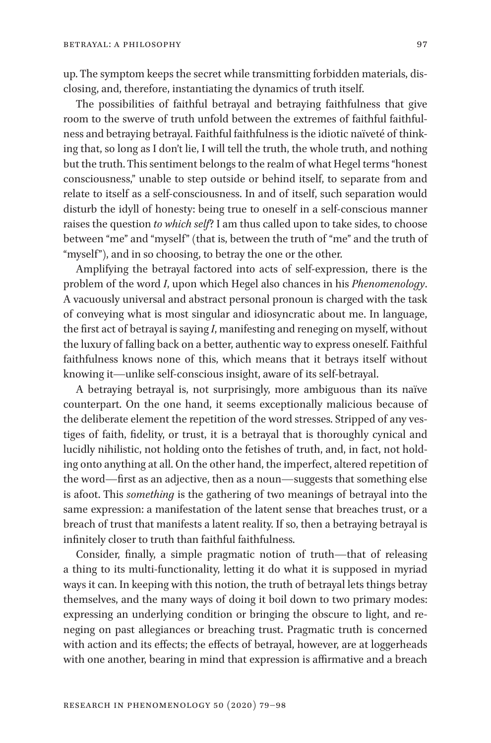up. The symptom keeps the secret while transmitting forbidden materials, disclosing, and, therefore, instantiating the dynamics of truth itself.

The possibilities of faithful betrayal and betraying faithfulness that give room to the swerve of truth unfold between the extremes of faithful faithfulness and betraying betrayal. Faithful faithfulness is the idiotic naïveté of thinking that, so long as I don't lie, I will tell the truth, the whole truth, and nothing but the truth. This sentiment belongs to the realm of what Hegel terms "honest consciousness," unable to step outside or behind itself, to separate from and relate to itself as a self-consciousness. In and of itself, such separation would disturb the idyll of honesty: being true to oneself in a self-conscious manner raises the question *to which self*? I am thus called upon to take sides, to choose between "me" and "myself" (that is, between the truth of "me" and the truth of "myself"), and in so choosing, to betray the one or the other.

Amplifying the betrayal factored into acts of self-expression, there is the problem of the word *I*, upon which Hegel also chances in his *Phenomenology*. A vacuously universal and abstract personal pronoun is charged with the task of conveying what is most singular and idiosyncratic about me. In language, the first act of betrayal is saying *I*, manifesting and reneging on myself, without the luxury of falling back on a better, authentic way to express oneself. Faithful faithfulness knows none of this, which means that it betrays itself without knowing it—unlike self-conscious insight, aware of its self-betrayal.

A betraying betrayal is, not surprisingly, more ambiguous than its naïve counterpart. On the one hand, it seems exceptionally malicious because of the deliberate element the repetition of the word stresses. Stripped of any vestiges of faith, fidelity, or trust, it is a betrayal that is thoroughly cynical and lucidly nihilistic, not holding onto the fetishes of truth, and, in fact, not holding onto anything at all. On the other hand, the imperfect, altered repetition of the word—first as an adjective, then as a noun—suggests that something else is afoot. This *something* is the gathering of two meanings of betrayal into the same expression: a manifestation of the latent sense that breaches trust, or a breach of trust that manifests a latent reality. If so, then a betraying betrayal is infinitely closer to truth than faithful faithfulness.

Consider, finally, a simple pragmatic notion of truth—that of releasing a thing to its multi-functionality, letting it do what it is supposed in myriad ways it can. In keeping with this notion, the truth of betrayal lets things betray themselves, and the many ways of doing it boil down to two primary modes: expressing an underlying condition or bringing the obscure to light, and reneging on past allegiances or breaching trust. Pragmatic truth is concerned with action and its effects; the effects of betrayal, however, are at loggerheads with one another, bearing in mind that expression is affirmative and a breach